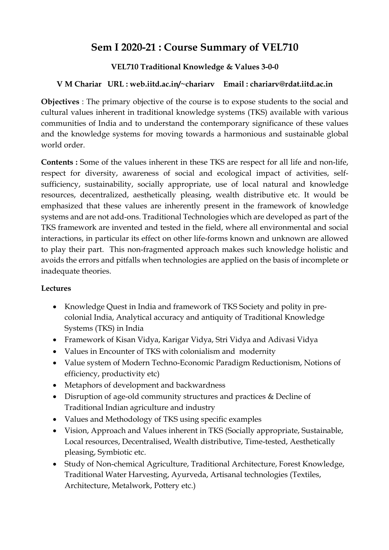# **Sem I 2020-21 : Course Summary of VEL710**

## **VEL710 Traditional Knowledge & Values 3-0-0**

## **V M Chariar URL : web.iitd.ac.in/~chariarv Email : chariarv@rdat.iitd.ac.in**

**Objectives** : The primary objective of the course is to expose students to the social and cultural values inherent in traditional knowledge systems (TKS) available with various communities of India and to understand the contemporary significance of these values and the knowledge systems for moving towards a harmonious and sustainable global world order.

**Contents :** Some of the values inherent in these TKS are respect for all life and non-life, respect for diversity, awareness of social and ecological impact of activities, selfsufficiency, sustainability, socially appropriate, use of local natural and knowledge resources, decentralized, aesthetically pleasing, wealth distributive etc. It would be emphasized that these values are inherently present in the framework of knowledge systems and are not add-ons. Traditional Technologies which are developed as part of the TKS framework are invented and tested in the field, where all environmental and social interactions, in particular its effect on other life-forms known and unknown are allowed to play their part. This non-fragmented approach makes such knowledge holistic and avoids the errors and pitfalls when technologies are applied on the basis of incomplete or inadequate theories.

### **Lectures**

- Knowledge Quest in India and framework of TKS Society and polity in precolonial India, Analytical accuracy and antiquity of Traditional Knowledge Systems (TKS) in India
- Framework of Kisan Vidya, Karigar Vidya, Stri Vidya and Adivasi Vidya
- Values in Encounter of TKS with colonialism and modernity
- Value system of Modern Techno-Economic Paradigm Reductionism, Notions of efficiency, productivity etc)
- Metaphors of development and backwardness
- Disruption of age-old community structures and practices & Decline of Traditional Indian agriculture and industry
- Values and Methodology of TKS using specific examples
- Vision, Approach and Values inherent in TKS (Socially appropriate, Sustainable, Local resources, Decentralised, Wealth distributive, Time-tested, Aesthetically pleasing, Symbiotic etc.
- Study of Non-chemical Agriculture, Traditional Architecture, Forest Knowledge, Traditional Water Harvesting, Ayurveda, Artisanal technologies (Textiles, Architecture, Metalwork, Pottery etc.)